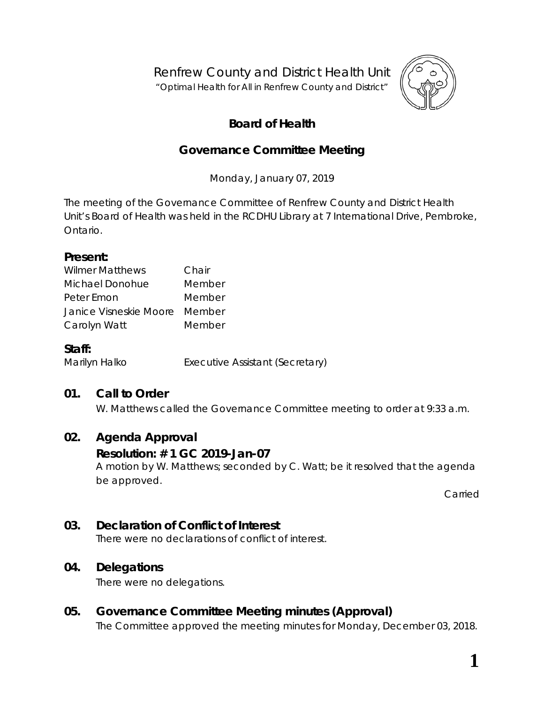Renfrew County and District Health Unit

"*Optimal Health for All in Renfrew County and District"*



# **Board of Health**

## **Governance Committee Meeting**

Monday, January 07, 2019

The meeting of the Governance Committee of Renfrew County and District Health Unit's Board of Health was held in the RCDHU Library at 7 International Drive, Pembroke, Ontario.

#### **Present:**

| <b>Wilmer Matthews</b>        | Chair  |
|-------------------------------|--------|
| Michael Donohue               | Member |
| Peter Emon                    | Member |
| Janice Visneskie Moore Member |        |
| Carolyn Watt                  | Member |

### **Staff:**

Marilyn Halko **Executive Assistant (Secretary)** 

### **01. Call to Order**

W. Matthews called the Governance Committee meeting to order at 9:33 a.m.

### **02. Agenda Approval**

### **Resolution: # 1 GC 2019-Jan-07**

A motion by W. Matthews; seconded by C. Watt; be it resolved that the agenda be approved.

Carried

## **03. Declaration of Conflict of Interest**

There were no declarations of conflict of interest.

### **04. Delegations**

There were no delegations.

## **05. Governance Committee Meeting minutes (Approval)**

The Committee approved the meeting minutes for Monday, December 03, 2018.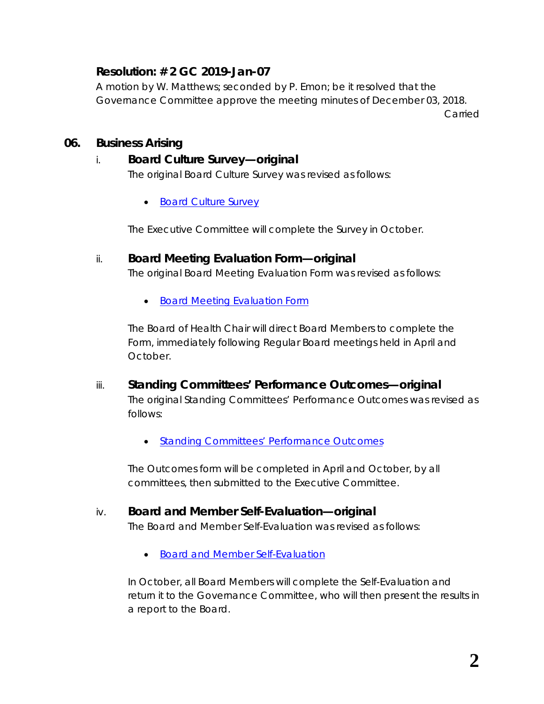## **Resolution: # 2 GC 2019-Jan-07**

A motion by W. Matthews; seconded by P. Emon; be it resolved that the Governance Committee approve the meeting minutes of December 03, 2018.

Carried

#### **06. Business Arising**

#### i. **Board Culture Survey—original**

The original *Board Culture Survey* was revised as follows:

• *[Board Culture Survey](https://www.rcdhu.com/wp-content/uploads/2019/02/Board-Culture-Survey-revised-2019-Jan-09.pdf)*

The Executive Committee will complete the *Survey* in October.

#### ii. **Board Meeting Evaluation Form—original**

The original *Board Meeting Evaluation Form* was revised as follows:

• *[Board Meeting Evaluation](https://www.rcdhu.com/wp-content/uploads/2019/02/Board-Meeting-Evaluation-Form-revised-2019-Jan-09.pdf) Form*

The Board of Health Chair will direct Board Members to complete the *Form*, immediately following Regular Board meetings held in April and October.

- iii. **Standing Committees' Performance Outcomes—original** The original *Standing Committees' Performance Outcomes* was revised as follows:
	- *[Standing Committees' Performance Outcomes](https://www.rcdhu.com/wp-content/uploads/2019/02/Standing-Committees-Performance-Outcomes-2019-Jan-10.pdf)*

The *Outcomes* form will be completed in April and October, by all committees, then submitted to the Executive Committee.

#### iv. **Board and Member Self-Evaluation—original**

The *Board and Member Self-Evaluation* was revised as follows:

• *[Board and Member Self-Evaluation](https://www.rcdhu.com/wp-content/uploads/2019/02/Board-and-Member-Self-Evaluation-2019-Jan-10.pdf)*

In October, all Board Members will complete the *Self-Evaluation* and return it to the Governance Committee, who will then present the results in a report to the Board.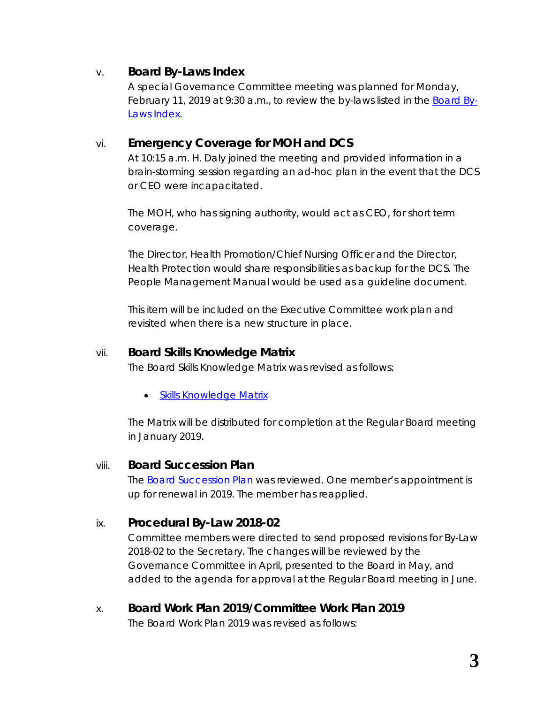### v. **Board By-Laws Index**

A special Governance Committee meeting was planned for Monday, February 11, 2019 at 9:30 a.m., to review the by-laws listed in the *[Board By-](https://www.rcdhu.com/wp-content/uploads/2019/02/06.-v.-Board-By-Laws-Index.pdf)[Laws Index](https://www.rcdhu.com/wp-content/uploads/2019/02/06.-v.-Board-By-Laws-Index.pdf)*.

### vi. **Emergency Coverage for MOH and DCS**

At 10:15 a.m. H. Daly joined the meeting and provided information in a brain-storming session regarding an ad-hoc plan in the event that the DCS or CEO were incapacitated.

The MOH, who has signing authority, would act as CEO, for short term coverage.

The Director, Health Promotion/Chief Nursing Officer and the Director, Health Protection would share responsibilities as backup for the DCS. The *People Management Manual* would be used as a guideline document.

This item will be included on the Executive Committee work plan and revisited when there is a new structure in place.

#### vii. **Board Skills Knowledge Matrix**

The Board Skills Knowledge Matrix was revised as follows:

• *[Skills Knowledge Matrix](https://www.rcdhu.com/wp-content/uploads/2019/02/Skills-Knowledge-Matrix-BoH-2019-Jan-10.pdf)*

The *Matrix* will be distributed for completion at the Regular Board meeting in January 2019.

#### viii. **Board Succession Plan**

The *[Board Succession Plan](https://www.rcdhu.com/wp-content/uploads/2019/02/Board-Succession-Plan-2019-Jan-09.pdf)* was reviewed. One member's appointment is up for renewal in 2019. The member has reapplied.

#### ix. **Procedural By-Law 2018-02**

Committee members were directed to send proposed revisions for By-Law 2018-02 to the Secretary. The changes will be reviewed by the Governance Committee in April, presented to the Board in May, and added to the agenda for approval at the Regular Board meeting in June.

x. **Board Work Plan 2019/Committee Work Plan 2019** The *Board Work Plan 2019* was revised as follows: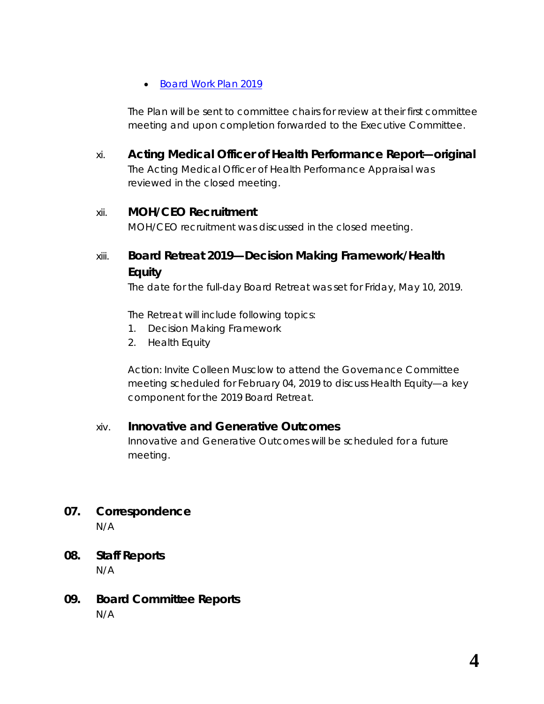#### • *[Board Work Plan 2019](https://www.rcdhu.com/wp-content/uploads/2019/02/Board-Work-Plan-2019-Draft-2019-Jan-10.pdf)*

The *Plan* will be sent to committee chairs for review at their first committee meeting and upon completion forwarded to the Executive Committee.

xi. **Acting Medical Officer of Health Performance Report—original** The Acting Medical Officer of Health Performance Appraisal was reviewed in the closed meeting.

#### xii. **MOH/CEO Recruitment**

MOH/CEO recruitment was discussed in the closed meeting.

# xiii. **Board Retreat 2019—Decision Making Framework/Health Equity**

The date for the full-day Board Retreat was set for Friday, May 10, 2019.

The Retreat will include following topics:

- 1. Decision Making Framework
- 2. Health Equity

Action: Invite Colleen Musclow to attend the Governance Committee meeting scheduled for February 04, 2019 to discuss Health Equity—a key component for the 2019 Board Retreat.

### xiv. **Innovative and Generative Outcomes**

Innovative and Generative Outcomes will be scheduled for a future meeting.

- **07. Correspondence** N/A
- **08. Staff Reports** N/A
- **09. Board Committee Reports** N/A